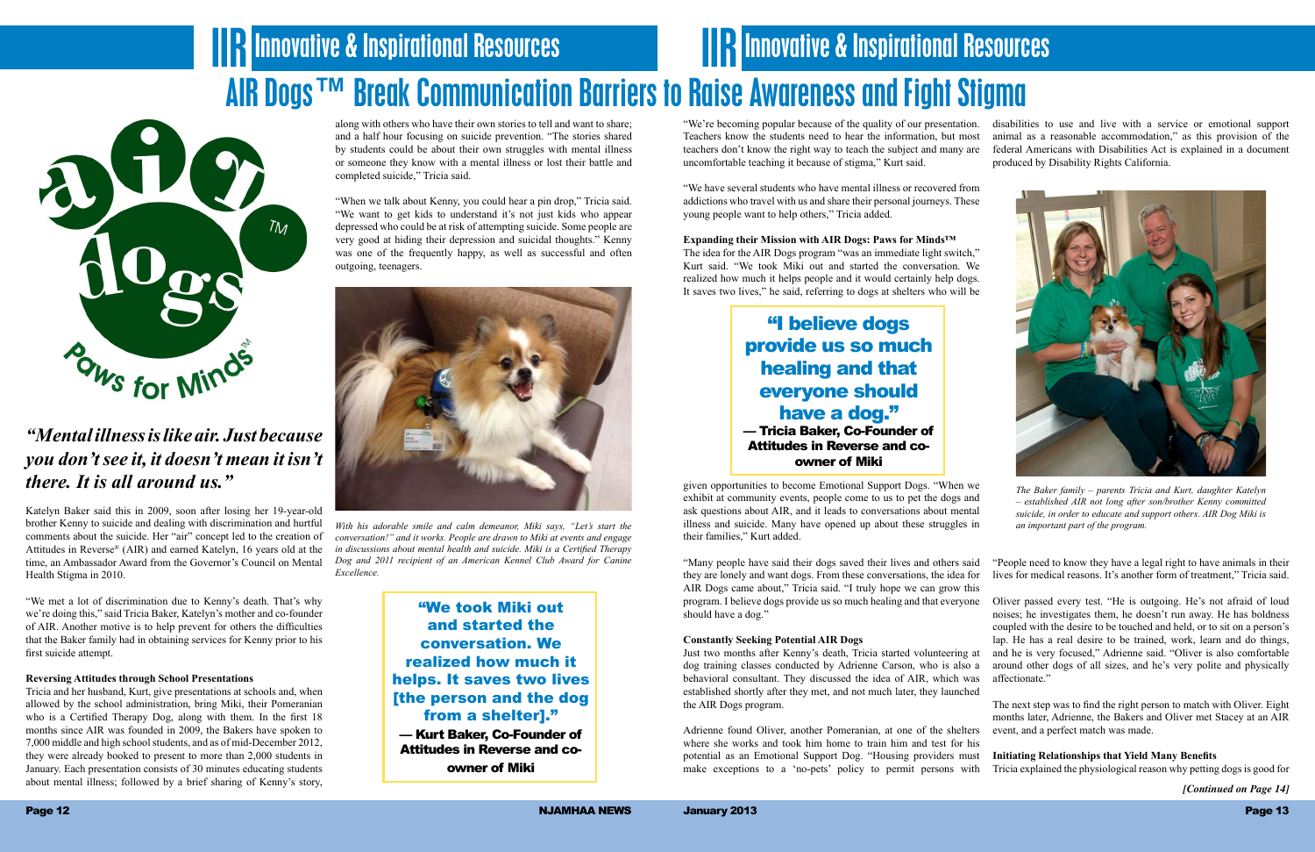## **IIR Innovative & Inspirational Resources** AIR Dogs™ Break Communication Barriers to Raise Awareness and Fight Stigma **IIIR Innovative & Inspirational Resources**



### *"Mental illness is like air. Just because you don't see it, it doesn't mean it isn't there. It is all around us."*

Katelyn Baker said this in 2009, soon after losing her 19-year-old brother Kenny to suicide and dealing with discrimination and hurtful comments about the suicide. Her "air" concept led to the creation of Attitudes in Reverse® (AIR) and earned Katelyn, 16 years old at the time, an Ambassador Award from the Governor's Council on Mental Health Stigma in 2010.

"We met a lot of discrimination due to Kenny's death. That's why we're doing this," said Tricia Baker, Katelyn's mother and co-founder of AIR. Another motive is to help prevent for others the difficulties that the Baker family had in obtaining services for Kenny prior to his first suicide attempt.

### **Reversing Attitudes through School Presentations**

Tricia and her husband, Kurt, give presentations at schools and, when allowed by the school administration, bring Miki, their Pomeranian who is a Certified Therapy Dog, along with them. In the first 18 months since AIR was founded in 2009, the Bakers have spoken to 7,000 middle and high school students, and as of mid-December 2012, they were already booked to present to more than 2,000 students in January. Each presentation consists of 30 minutes educating students about mental illness; followed by a brief sharing of Kenny's story,

along with others who have their own stories to tell and want to share; and a half hour focusing on suicide prevention. "The stories shared by students could be about their own struggles with mental illness or someone they know with a mental illness or lost their battle and completed suicide," Tricia said.

"When we talk about Kenny, you could hear a pin drop," Tricia said. "We want to get kids to understand it's not just kids who appear depressed who could be at risk of attempting suicide. Some people are very good at hiding their depression and suicidal thoughts." Kenny was one of the frequently happy, as well as successful and often outgoing, teenagers.

"We have several students who have mental illness or recovered from addictions who travel with us and share their personal journeys. These young people want to help others," Tricia added.

**Expanding their Mission with AIR Dogs: Paws for Minds™** The idea for the AIR Dogs program "was an immediate light switch," Kurt said. "We took Miki out and started the conversation. We realized how much it helps people and it would certainly help dogs. It saves two lives," he said, referring to dogs at shelters who will be

given opportunities to become Emotional Support Dogs. "When we exhibit at community events, people come to us to pet the dogs and ask questions about AIR, and it leads to conversations about mental illness and suicide. Many have opened up about these struggles in their families," Kurt added.

"We're becoming popular because of the quality of our presentation. Teachers know the students need to hear the information, but most teachers don't know the right way to teach the subject and many are uncomfortable teaching it because of stigma," Kurt said. disabilities to use and live with a service or emotional support animal as a reasonable accommodation," as this provision of the federal Americans with Disabilities Act is explained in a document produced by Disability Rights California.

#### **Constantly Seeking Potential AIR Dogs**

Just two months after Kenny's death, Tricia started volunteering at dog training classes conducted by Adrienne Carson, who is also a behavioral consultant. They discussed the idea of AIR, which was established shortly after they met, and not much later, they launched the AIR Dogs program.

"Many people have said their dogs saved their lives and others said they are lonely and want dogs. From these conversations, the idea for AIR Dogs came about," Tricia said. "I truly hope we can grow this program. I believe dogs provide us so much healing and that everyone should have a dog." "People need to know they have a legal right to have animals in their lives for medical reasons. It's another form of treatment," Tricia said. Oliver passed every test. "He is outgoing. He's not afraid of loud

Adrienne found Oliver, another Pomeranian, at one of the shelters where she works and took him home to train him and test for his potential as an Emotional Support Dog. "Housing providers must make exceptions to a 'no-pets' policy to permit persons with event, and a perfect match was made. **Initiating Relationships that Yield Many Benefits** Tricia explained the physiological reason why petting dogs is good for



noises; he investigates them, he doesn't run away. He has boldness coupled with the desire to be touched and held, or to sit on a person's lap. He has a real desire to be trained, work, learn and do things, and he is very focused," Adrienne said. "Oliver is also comfortable around other dogs of all sizes, and he's very polite and physically affectionate."

The next step was to find the right person to match with Oliver. Eight months later, Adrienne, the Bakers and Oliver met Stacey at an AIR



*With his adorable smile and calm demeanor, Miki says, "Let's start the conversation!" and it works. People are drawn to Miki at events and engage in discussions about mental health and suicide. Miki is a Certified Therapy Dog and 2011 recipient of an American Kennel Club Award for Canine Excellence.*

"We took Miki out and started the conversation. We realized how much it helps. It saves two lives [the person and the dog from a shelter]."

— Kurt Baker, Co-Founder of Attitudes in Reverse and coowner of Miki

"I believe dogs provide us so much healing and that everyone should have a dog." — Tricia Baker, Co-Founder of Attitudes in Reverse and coowner of Miki

*[Continued on Page 14]*

*The Baker family – parents Tricia and Kurt, daughter Katelyn – established AIR not long after son/brother Kenny committed suicide, in order to educate and support others. AIR Dog Miki is an important part of the program.*